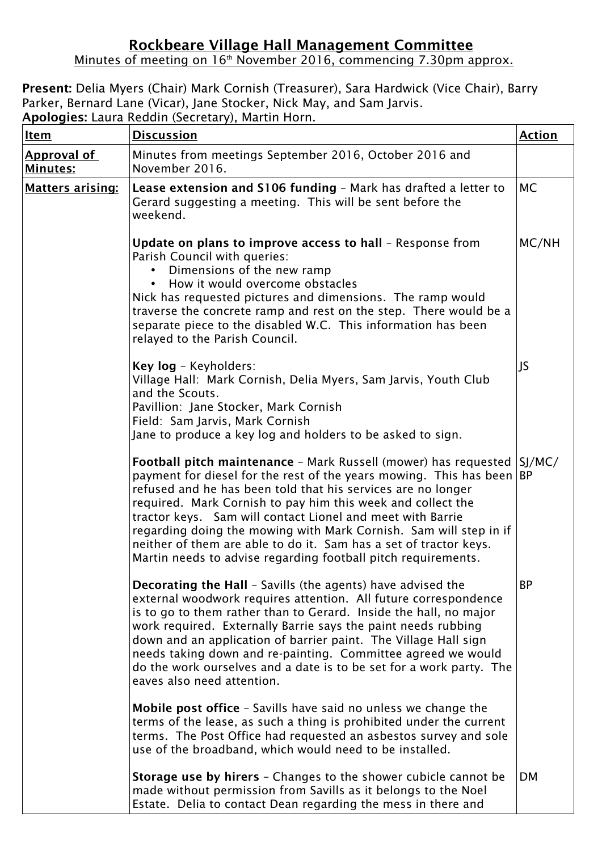## Rockbeare Village Hall Management Committee

Minutes of meeting on 16<sup>th</sup> November 2016, commencing 7.30pm approx.

Present: Delia Myers (Chair) Mark Cornish (Treasurer), Sara Hardwick (Vice Chair), Barry Parker, Bernard Lane (Vicar), Jane Stocker, Nick May, and Sam Jarvis. Apologies: Laura Reddin (Secretary), Martin Horn.

| <b>Item</b>                           | pologics. Laura Reddin (Secretary), martin riorn.<br><b>Discussion</b>                                                                                                                                                                                                                                                                                                                                                                                                                                                                                             | <b>Action</b> |
|---------------------------------------|--------------------------------------------------------------------------------------------------------------------------------------------------------------------------------------------------------------------------------------------------------------------------------------------------------------------------------------------------------------------------------------------------------------------------------------------------------------------------------------------------------------------------------------------------------------------|---------------|
|                                       |                                                                                                                                                                                                                                                                                                                                                                                                                                                                                                                                                                    |               |
| <b>Approval of</b><br><b>Minutes:</b> | Minutes from meetings September 2016, October 2016 and<br>November 2016.                                                                                                                                                                                                                                                                                                                                                                                                                                                                                           |               |
| <b>Matters arising:</b>               | Lease extension and \$106 funding - Mark has drafted a letter to<br>Gerard suggesting a meeting. This will be sent before the<br>weekend.                                                                                                                                                                                                                                                                                                                                                                                                                          | <b>MC</b>     |
|                                       | Update on plans to improve access to hall - Response from<br>Parish Council with queries:<br>• Dimensions of the new ramp<br>• How it would overcome obstacles<br>Nick has requested pictures and dimensions. The ramp would<br>traverse the concrete ramp and rest on the step. There would be a<br>separate piece to the disabled W.C. This information has been<br>relayed to the Parish Council.                                                                                                                                                               | MC/NH         |
|                                       | Key log - Keyholders:<br>Village Hall: Mark Cornish, Delia Myers, Sam Jarvis, Youth Club<br>and the Scouts.<br>Pavillion: Jane Stocker, Mark Cornish<br>Field: Sam Jarvis, Mark Cornish<br>Jane to produce a key log and holders to be asked to sign.                                                                                                                                                                                                                                                                                                              | JS            |
|                                       | <b>Football pitch maintenance - Mark Russell (mower) has requested SJ/MC/</b><br>payment for diesel for the rest of the years mowing. This has been $ BP $<br>refused and he has been told that his services are no longer<br>required. Mark Cornish to pay him this week and collect the<br>tractor keys. Sam will contact Lionel and meet with Barrie<br>regarding doing the mowing with Mark Cornish. Sam will step in if<br>neither of them are able to do it. Sam has a set of tractor keys.<br>Martin needs to advise regarding football pitch requirements. |               |
|                                       | <b>Decorating the Hall</b> - Savills (the agents) have advised the<br>external woodwork requires attention. All future correspondence<br>is to go to them rather than to Gerard. Inside the hall, no major<br>work required. Externally Barrie says the paint needs rubbing<br>down and an application of barrier paint. The Village Hall sign<br>needs taking down and re-painting. Committee agreed we would<br>do the work ourselves and a date is to be set for a work party. The<br>eaves also need attention.                                                | <b>BP</b>     |
|                                       | <b>Mobile post office</b> - Savills have said no unless we change the<br>terms of the lease, as such a thing is prohibited under the current<br>terms. The Post Office had requested an asbestos survey and sole<br>use of the broadband, which would need to be installed.                                                                                                                                                                                                                                                                                        |               |
|                                       | <b>Storage use by hirers</b> - Changes to the shower cubicle cannot be<br>made without permission from Savills as it belongs to the Noel<br>Estate. Delia to contact Dean regarding the mess in there and                                                                                                                                                                                                                                                                                                                                                          | <b>DM</b>     |